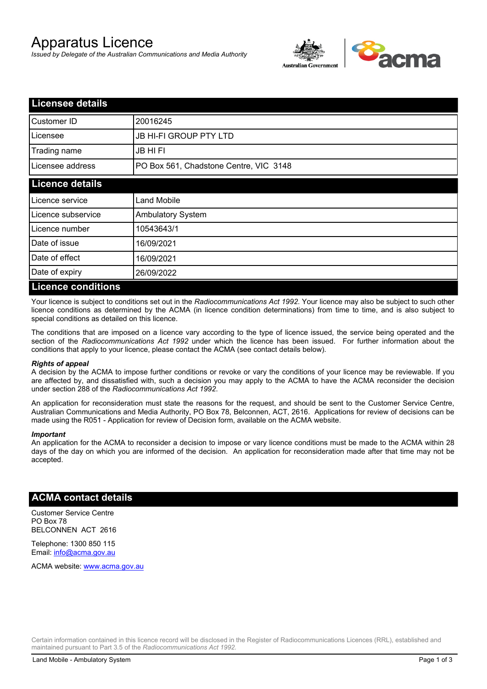# Apparatus Licence

*Issued by Delegate of the Australian Communications and Media Authority*



| <b>Licensee details</b>   |                                        |  |
|---------------------------|----------------------------------------|--|
| Customer ID               | 20016245                               |  |
| Licensee                  | <b>JB HI-FI GROUP PTY LTD</b>          |  |
| Trading name              | <b>JB HIFI</b>                         |  |
| Licensee address          | PO Box 561, Chadstone Centre, VIC 3148 |  |
| <b>Licence details</b>    |                                        |  |
| Licence service           | <b>Land Mobile</b>                     |  |
| Licence subservice        | Ambulatory System                      |  |
| Licence number            | 10543643/1                             |  |
| Date of issue             | 16/09/2021                             |  |
| Date of effect            | 16/09/2021                             |  |
| Date of expiry            | 26/09/2022                             |  |
| <b>Licence conditions</b> |                                        |  |

Your licence is subject to conditions set out in the *Radiocommunications Act 1992*. Your licence may also be subject to such other licence conditions as determined by the ACMA (in licence condition determinations) from time to time, and is also subject to special conditions as detailed on this licence.

The conditions that are imposed on a licence vary according to the type of licence issued, the service being operated and the section of the *Radiocommunications Act 1992* under which the licence has been issued. For further information about the conditions that apply to your licence, please contact the ACMA (see contact details below).

#### *Rights of appeal*

A decision by the ACMA to impose further conditions or revoke or vary the conditions of your licence may be reviewable. If you are affected by, and dissatisfied with, such a decision you may apply to the ACMA to have the ACMA reconsider the decision under section 288 of the *Radiocommunications Act 1992*.

An application for reconsideration must state the reasons for the request, and should be sent to the Customer Service Centre, Australian Communications and Media Authority, PO Box 78, Belconnen, ACT, 2616. Applications for review of decisions can be made using the R051 - Application for review of Decision form, available on the ACMA website.

#### *Important*

An application for the ACMA to reconsider a decision to impose or vary licence conditions must be made to the ACMA within 28 days of the day on which you are informed of the decision. An application for reconsideration made after that time may not be accepted.

### **ACMA contact details**

Customer Service Centre PO Box 78 BELCONNEN ACT 2616

Telephone: 1300 850 115 Email: info@acma.gov.au

ACMA website: www.acma.gov.au

Certain information contained in this licence record will be disclosed in the Register of Radiocommunications Licences (RRL), established and maintained pursuant to Part 3.5 of the *Radiocommunications Act 1992.*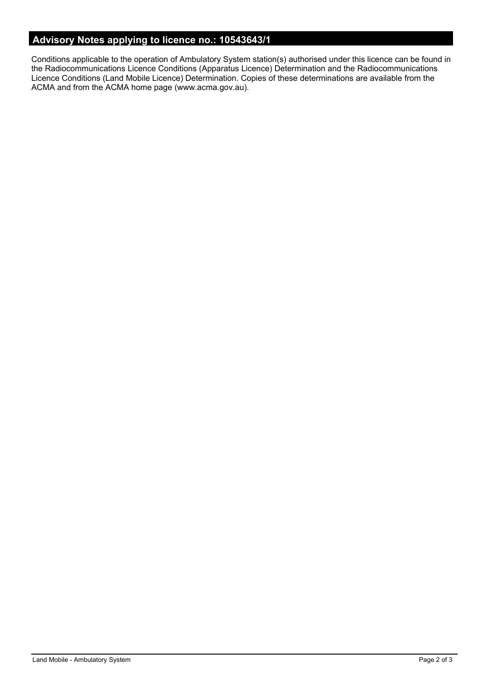# **Advisory Notes applying to licence no.: 10543643/1**

Conditions applicable to the operation of Ambulatory System station(s) authorised under this licence can be found in the Radiocommunications Licence Conditions (Apparatus Licence) Determination and the Radiocommunications Licence Conditions (Land Mobile Licence) Determination. Copies of these determinations are available from the ACMA and from the ACMA home page (www.acma.gov.au).